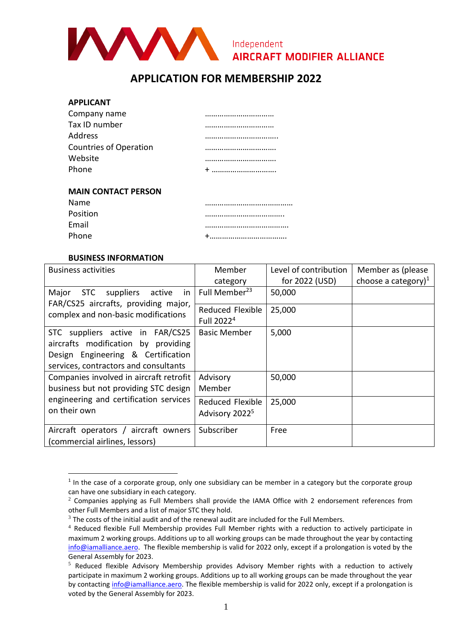

## **APPLICATION FOR MEMBERSHIP 2022**

| <b>APPLICANT</b>              |  |
|-------------------------------|--|
| Company name                  |  |
| Tax ID number                 |  |
| Address                       |  |
| <b>Countries of Operation</b> |  |
| Website                       |  |
| Phone                         |  |
|                               |  |
| <b>MAIN CONTACT PERSON</b>    |  |
| Name                          |  |
| Position                      |  |
| Email                         |  |
|                               |  |

Phone +……………………………….

## **BUSINESS INFORMATION**

**APPLICANT** 

| <b>Business activities</b>                                                                                                                             | Member                                         | Level of contribution | Member as (please      |
|--------------------------------------------------------------------------------------------------------------------------------------------------------|------------------------------------------------|-----------------------|------------------------|
|                                                                                                                                                        | category                                       | for 2022 (USD)        | choose a category) $1$ |
| in<br>suppliers<br>Major<br><b>STC</b><br>active<br>FAR/CS25 aircrafts, providing major,<br>complex and non-basic modifications                        | Full Member <sup>23</sup>                      | 50,000                |                        |
|                                                                                                                                                        | Reduced Flexible<br>Full 2022 <sup>4</sup>     | 25,000                |                        |
| STC suppliers active in FAR/CS25<br>aircrafts modification by providing<br>Design Engineering & Certification<br>services, contractors and consultants | <b>Basic Member</b>                            | 5,000                 |                        |
| Companies involved in aircraft retrofit<br>business but not providing STC design                                                                       | Advisory<br>Member                             | 50,000                |                        |
| engineering and certification services<br>on their own                                                                                                 | Reduced Flexible<br>Advisory 2022 <sup>5</sup> | 25,000                |                        |
| Aircraft operators / aircraft owners<br>(commercial airlines, lessors)                                                                                 | Subscriber                                     | Free                  |                        |

 $<sup>1</sup>$  In the case of a corporate group, only one subsidiary can be member in a category but the corporate group</sup> can have one subsidiary in each category.

 $2$  Companies applying as Full Members shall provide the IAMA Office with 2 endorsement references from other Full Members and a list of major STC they hold.

 $3$  The costs of the initial audit and of the renewal audit are included for the Full Members.

<sup>4</sup> Reduced flexible Full Membership provides Full Member rights with a reduction to actively participate in maximum 2 working groups. Additions up to all working groups can be made throughout the year by contacting [info@iamalliance.aero.](mailto:info@iamalliance.aero) The flexible membership is valid for 2022 only, except if a prolongation is voted by the General Assembly for 2023.

<sup>&</sup>lt;sup>5</sup> Reduced flexible Advisory Membership provides Advisory Member rights with a reduction to actively participate in maximum 2 working groups. Additions up to all working groups can be made throughout the year by contacting [info@iamalliance.aero.](mailto:info@iamalliance.aero) The flexible membership is valid for 2022 only, except if a prolongation is voted by the General Assembly for 2023.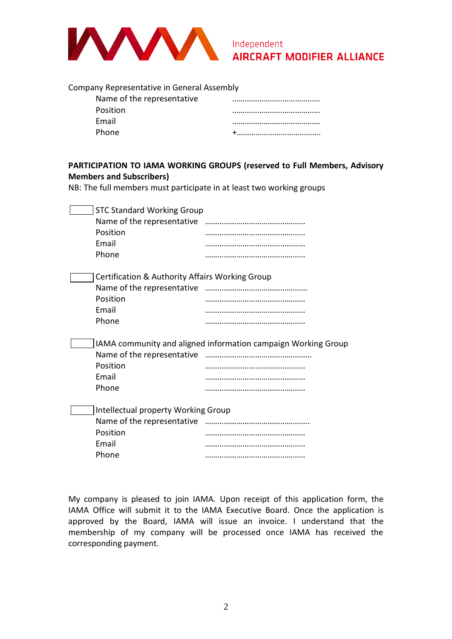

## Company Representative in General Assembly

## **PARTICIPATION TO IAMA WORKING GROUPS (reserved to Full Members, Advisory Members and Subscribers)**

NB: The full members must participate in at least two working groups

| <b>STC Standard Working Group</b>               |                                                               |
|-------------------------------------------------|---------------------------------------------------------------|
|                                                 |                                                               |
| Position                                        |                                                               |
| Email                                           |                                                               |
| Phone                                           |                                                               |
| Certification & Authority Affairs Working Group |                                                               |
| Name of the representative                      |                                                               |
| Position                                        |                                                               |
| Email                                           |                                                               |
| Phone                                           |                                                               |
|                                                 | IAMA community and aligned information campaign Working Group |
| Name of the representative                      |                                                               |
| Position                                        |                                                               |
| Email                                           |                                                               |
| Phone                                           |                                                               |
| Intellectual property Working Group             |                                                               |
| Name of the representative                      |                                                               |
| Position                                        |                                                               |
| Email                                           |                                                               |
| Phone                                           |                                                               |
|                                                 |                                                               |

My company is pleased to join IAMA. Upon receipt of this application form, the IAMA Office will submit it to the IAMA Executive Board. Once the application is approved by the Board, IAMA will issue an invoice. I understand that the membership of my company will be processed once IAMA has received the corresponding payment.